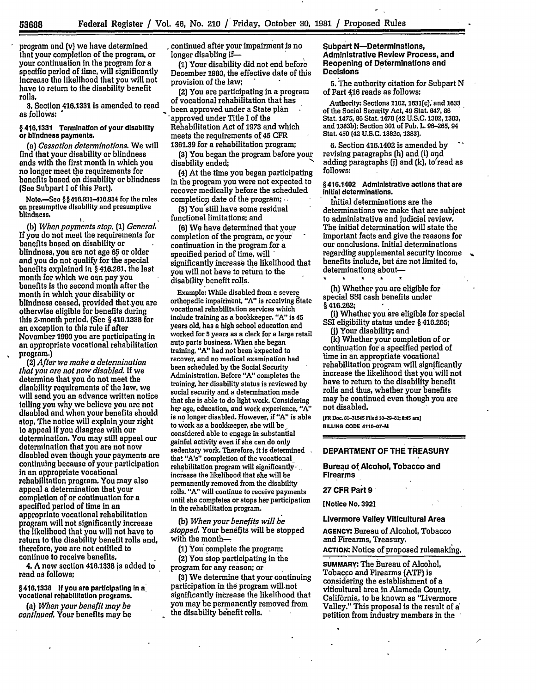**5368**

program and (v) we have determined that your completion of the program, or your continuation in the program for a specific period of time, will significantly increase the likelihood that you will not have to return to the disability benefit rolls.

*3.* Section 416.1331 is amended to read as **follows: "**

§ 416.1331 Termination of your disability or blindness payments.

*(a) Cessation determinations.* We will find that your disability or blindness ends with the first month in which you no longer meet the requirements for benefits based on disability or blindness (See Subpart **I** of this Part).

Noto.-See § **§** 410.931-416.934 for the rules on presumptive disability and presumptive blindness.

*(b) When payments stop. (1) General* **If** you do not meet the requirements for benefits based on disability or blindness, you are not age **65** or older **and** you do not qualify for the special benefits explained In § 416.261, the last month for which we can pay you benefits is the second month after the month in which your disability or blindness ceased, provided that.you are otherwise eligible for benefits during this 2-month period, (See § **416.1338** for an exception to this rule if after November **1980** you are participating in an appropriate vocational rehabilitation program.)

*(2) After we make a determination that you are not now disabled.* If we determine that you do not meet the disability requirements of the law, we will send you an advance written notice telling you why we believe you are not disabled and when your benefits should stop, The notice will explain your right to appeal If you disagree with our determination. You may still appeal our determination that you are not now disabled even though your payments are continuing because of your participation In an appropriate vocational rehabilitation program. You may also appeal a determination that your completion of or continuation for a specified period of time in an appropriate vocational rehabilitation program will not significantly increase the likelihood that you will not have to return to the disability benefit rolls and, therefore, you are not entitled to continue to receive benefits.

**4, A** new section **416.1338** is added to read as follows;

§416.1338 **If** you are participating **In a** vocational rehabilitation programs.

*(a) When your benefit may be continued,* Your benefits may be continued after your impairment is no longer disabling if-

**(1)** Your disability did not end before December **1980,** the effective date of this provision of the law;

(2) You are participating in a program of vocational rehabilitation that has been approved under a State plan approved under Title **I** of the Rehabilitation Act of **1973** and which meets the requirements of 45 CFR **1361.39** for a rehabilitation program;

**(3)** You began the program before your disability ended;

(4) At the time you began participating in the program you were not expected to recover medically before the scheduled completion date of the program;

**(5)** You still have some residual functional limitations; and

**(6)** We have determined that your completion of the program, or your continuation in the program for a specified period of time, will significantly increase the likelihood that you will not have to return to the disability benefit rolls.

Example: While disabled from a severe orthopedic impairment, **"A"** is receiving State vocational rehabilitation services which include training as a bookkeeper. "A" is 45 years old, has a high school education and worked for **5** years as a clerk for a large retail auto parts business. When she began training, "A" had not been expected to recover, and no medical examination had been scheduled **by** the Social Security Administration. Before **"A"** completes the training, her disability status is reviewed **by** social security and a determination made that she is able to do light work. Considering her age, education, and work experience, **"A"** is no longer disabled. However, if **"A"** is able to work as a bookkeeper, she will be considered able to engage in substantial gainful activity even **if** she can do only sedentary work. Therefore, it is determined that "A's" completion of the vocational rehabilitation program will significantlyincrease the likelihood that she will be permanently removed from the disability rolls. **"A'** will continue to receive payments until she completes or stops her participation in the rehabilitation program.

*(b) When your benefits will be stopped.* Your benefits **will** be stopped with **the** month--

**(1)** You complete the program;

(2) You stop participating in the program for any reason; or

**(3)** We determine that your continuing participation in the program will not significantly increase the likelihood that you may be permanently removed from the disability benefit rolls.

Subpart N-Determinations, Administrative Review Process, and Reopening of Determlinations and Decisions

**5.** The authority citation for Subpart **N** of Part **416** reads as follows:

Authority: Sections **1102,** 1631(c], and **1633 -of** the Social Security Act, 49 Stat. 647, **86** Stat. 1475, **86** Stat. **1478** (42 **U.S.C. 1302, 1383,** and **1383b);** Section **301** of Pub. L **96-265,** 94 Stat. 450 (42 **U.S.C.** 1382c, **1383).**

**6. Section 416.1402 is amended by revising paragraphs (h) and (i) and** adding paragraphs **fi]** and **(k),** to read as **follows:**

§416.1402 Administrative actions that are **Initial** determinations.

Initial determinations are the determinations we make that are subject to administrative and judicial review. The initial determination will state the important facts and give the reasons for our conclusions. Initial determinations regarding supplemental security income benefits include, but are not limited to, determinations about-

(h) Whether you are eligible for special SSI cash benefits under § 416.262;

(i) Whether you are eligible for special **SSI** eligibility status under § **416.265;**

**(j)** Your disability; and

**(k)** Whether your completion of or continuation for a specified period of lime in an appropriate vocational rehabilitation program will significantly increase the likelihood that you will not have to return to the disability benefit rolls and thus, whether your benefits may be continued even though you are not disabled.

**iFR Doc. 81-31545 Fled 10-2-1; 45 am] BILLNG CODE 4110-07-M**

# DEPARTMENT **OF** THE TREASURY

Bureau of Alcohol, Tobacco and Firearms

### **27** CFR Part **9**

[Notice No. **392]**

Livermore Valley Viticultural Area

**AGENCY:** Bureau of Alcohol, Tobacco and Firearms, Treasury.

**ACTION:** Notice of proposed rulemaking.

**SUMMARY:** The Bureau of Alcohol, Tobacco and Firearms **(ATF)** is considering the establishment of a viticultural area in Alameda County, Calif6rnia, to be known as "Livermore Valley." This proposal is the result of **a'** petition from industry members in the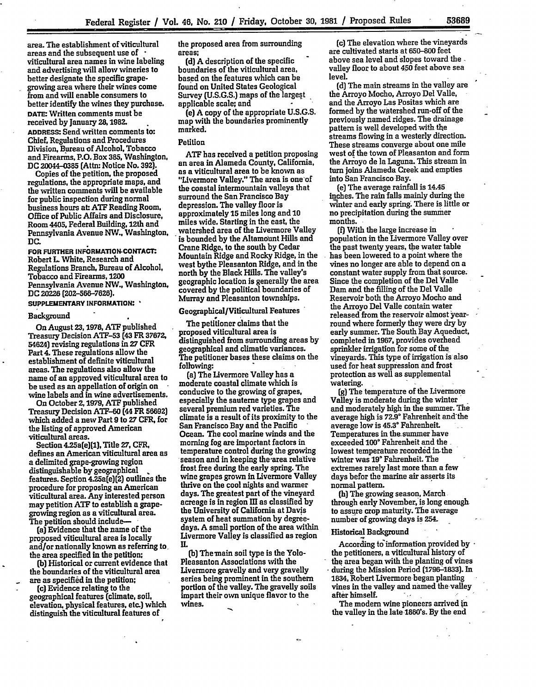area. The establishment of viticultural areas and the subsequent use of  viticultural area names in wine labeling and advertising will allow wineries to better designate the specific grapegrowing area where their wines come from and will enable consumers to better identify the wines they purchase. **DATE** Written comments must be received **by** January 28.1982. **ADDRESS:** Send written comments to: Chief, Regulations and Procedures Division, Bureau of Alcohol, Tobacco and Firearms, P.O. Box **385,** Washington, **DC** 20044-0385 (Attn: Notice No. **392).**

Copies of the petition, the proposed regulations, the appropriate maps, and the written comments will be available for public inspection during normal business hours at: **ATF** Reading Room, Office of Public Affairs and Disclosure, Room 4405, Federal Building, 12th and Pennsylvania Avenue NW., Washington, **DC.**

**FOR FURTHER INFORMATION-eONTAcr.** Robert **L** White, Research and Regulations Branch, Bureau of Alcohol, Tobacco and Firearms, **1200** Pennsylvania Avenue NW., Washington, **DC** 20226 **(202-566-7625).**

#### SUPPLEMENTARY INFORMATION:

#### Background

On August **23,1978, ATF** published Treasury Decision **ATF-53** (43 FR **37672,** 54624) revising regulations in **27** CFR Part 4. These regulations allow the establishment of definite viticultural areas. The regulations also allow the name of an approved viticultural area to be used as an appellation of origin on wine labels and in wine advertisements.

On October **2,1979, ATF** published Treasury Decision **ATF-60** (44 FR **56692)** which added a new Part **9** to **27** CFR, for the listing of approved American viticultural areas.

Section 4.25a(e](1), Title **27,** CFR. defines an American viticultural area as a delimited grape-growing region distinguishable **by** geographical features. Section 4.25a(e)(2) outlines the procedure **for** proposing an American viticultural area. Any interested person may petition **ATF** to establish a grapegrowing region as a viticultural area. The petition should include--

(a) Evidence that the name of the proposed viticultural area is locally and/or nationally known as referring to the area specified in the petition;

**(b)** Historical or current evidence that the boundaries of the viticultural area are as specified in the petition;

**(c)** Evidence relating to the geographical features (climate, soil, elevation, physical features. etc.) which distinguish the viticultural features of

the proposed area from surrounding areas;

**(d)** A description of the specific boundaries of the viticultural area, based on the features which can be found on United States Geological Survey **(U.S.G.S.)** maps of the largest applicable scale; and

(e) A copy of the appropriate U.S.G.S. map with the boundaries prominently marked.

### Petition

**ATF** has received a petition proposing an area in Alameda County, California, as a viticultural area to be known as "Livermore Valley." The area is one of the coastal intermountain valleys that surround the San Francisco Bay depression. The valley floor is approximately **15** miles long and **10** miles wide. Starting in the east, the watershed area of the Livermore Valley is bounded **by** the Altamount Hills and Crane Ridge, to the south **by** Cedar Mountain Ridge and Rocky Ridge, in the west bythe Pleasanton Ridge, and in the north **by** the Black Hills. The valley's geographic location is generally the area covered **by** the political boundaries of Murray and Pleasanton townships.

## Geographical/Viticultural Features

The petitioner claims that the proposed viticultural area is distinguished from surrounding areas **by** geographical and climatic variances. The petitioner bases these claims on the following:

(a) The Livermore Valley has a moderate coastal climate which is conducive to the growing of grapes, especially the sauterne type grapes and several premium red varieties. The climate Is a result of its proximity to the San Francisco Bay and the Pacific Ocean. The cool marine winds and the morning fog are important factors in temperature control during the growing season and in keeping the'area relative frost free during the early spring. The wine grapes grown in Livermore Valley thrive on the cool nights and warmer days. The greatest part of the vineyard acreage is in region **HI** as classified **by** the University of California at Davis system of heat summation **by** degreedays. **A** small portion of the area within Livermore Valley is classified as region IL

**(b)** The main soil type is the Yolo-Pleasanton Associations with the Livermore gravelly and very gravelly series being prominent in the southern portion of the valley. The gravelly soils impart their own unique flavor to the wines.

(c) The elevation where the vineyards are cultivated starts at **650-800** feet above sea level and slopes toward the valley floor to about **450** feet above sea level.

**(d)** The main streams in the valley are the Arroyo Mocho, Arroyo Del Valle, and the Arroyo Las Positas which are formed **by** the watershed run-off of the previously named ridges. The drainage pattern is well developed with **the** streams flowing in a westerly direction. These streams converge about one mile west of the town of Pleasanton and form the Arroyo de la Laguna. This stream in turn joins Alameda Creek and empties into San Francisco-Bay.

(e) The average rainfall is 14.45 inches. The rain falls mainly during the winter and early spring. There is little or no precipitation during the summer months.

**(f)** With the large increase in population in the Livermore Valley over the past twenty years, the water table has been lowered to a point where the vines no longer are able to depend on a constant water supply from that source. Since the completion of the Del Valle Dam and the filling of the Del Valle Reservoir both the Arroyo Mocho and the Arroyo Del Valle contain water released from the reservoir almost yearround where formerly they were dry **by** early summer. The South Bay Aqueduct, completed in **1967,** provides overhead sprinkler irrigation for some of the vineyards. This type of irrigation is also used for heat suppression and frost protection as well as supplemental watering.

**(g)** The temperature of the Livermore Valley is moderate during the winter and moderately **high** in the summer. The average high is **72.9'** Fahrenheit and'the average low is **45.3 °** Fahrenheit. Temperatures in the~summer have exceeded 100° Fahrenheit and the lowest temperature recorded in-the winter was **19°** Fahrenheit. The extremes rarely last more than a few days befor the marine air asserts its normal pattern.

(h) The growing season, March through early November, is long enough to assure crop maturity. The average number of growing days is 254.

#### Historical Background

According to'information provided **by** the petitioners, a viticultural history of the area began with the planting of vines - **during** the Mission Period **(1796-1833).** In **1834.** Robert Livermore-began planting vines in the valley and named the valley after himself.

The modem wine pioneers arrived in the valley in the late 1860's. **By** the **end**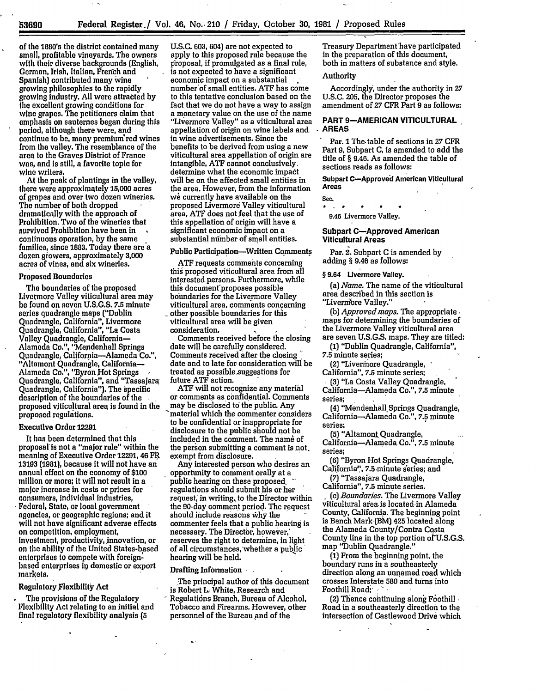**53690**

of the 1880's the district contained many small, profitable vineyards. The owners with their diverse backgrounds (English, German, Irish, Italian, French and Spanish) contributed many wine growing philosophies to the rapidly growing industry. **All** were attracted **by** the excellent growing conditions for wine grapes. The petitioners claim that emphasis on sauternes began during this period, although there were, and continue to be, many premium'red wines from the valley. The resemblance of the area to the Graves District of France was, and is still, a favorite topic for wine writers.

At the peak of plantings in the valley, there were approximately 15,000 acres of grapes and over two dozen wineries. The number of both dropped dramatically with the approach of Prohibition. Two of the wineries that survived Prohibition have been in continuous operation, **by** the same families, since **1883.** Today there are a dozen growers, approximately **3,000** acres of vines, and six wineries.

## Proposed Boundaries

The boundaries of the proposed Livermore Valley viticultural area may be found on seven U.S.G.S. **7.5** minute series quadrangle maps ("Dublin Quadrangle, California", Livermore Quadrangle, California", "La Costa **Valley** Quadrangle, California-Alameda **Co,",** "Mendenhall Springs Quadrangle, California-Alameda Co.", "Altamont Quadrangle, California-Alameda **Co,",** "Byron **Hot** Springs **-** Quadrangle, California", and "Tassajara Quadrangle, California"). The specific description of the boundaries of the proposed viticultural area is found in the proposed regulations.

## Executive Order **12291**

It has been determined that this proposal is not **a** "major **rule"** within the meaning of Executive Order **12291,** 46 FR **13193 (1981),** because it will not have an annual effect on the economy **of \$100** million or more; it will not result in a major'increase in costs or prices for consumers, individual industries, Federal, State, or local government agencies, or geographic regions; and it will not have significant adverse effects on competition, employment, investment, productivity, innovation, or on the ability of the United States-based enterprises to compete with foreignbased enterprises in domestic or export markets,

### Regulatory Flexibility Act

The provisions of the Regulatory Flexibility Act relating to an initial and final regulatory flexibility analysis **(5**

**U.S.C. 603,** 604) are not expected to apply to this proposed rule because the proposal, if promulgated as a final rule, is not expected to have a significant economic impact on a substantial number of small entities. ATF has come to this tentative conclusion based on the fact that we do not have a way to assign a monetary value on the use of the name "Livermore Valley" as a viticultural area appellation of origin on wine labels and, in wine advertisements. Since the benefits to be derived from using a new viticultural area appellation of origin are intangible, **ATE** cannot conclusively. determine what the economic impact will be on the affected small entities in the area. However, from the information we currently have available on the proposed Livermore Valley viticultural area, **ATF** does not feel that the use of this appellation of origin will have a significant economic impact on a substantial number of small entities.

#### Public Participation-Written Comments

**ATF** requests comments concerning this proposed viticultural area from all interested persons. Furthermore, while this document proposes possible boundaries for the Livermore Valley viticultural area, comments concerning other possible boundaries for this viticultural area will be given consideration. **I**

Comments received before the closing date will be carefully considered. Comments received after the closing date and to late for consideration will be treated as possible suggestions for future **ATF** action.

**ATF** will not recognize any material or comments as confidential. Comments may be disclosed to the public. Any material which the commenter considers to be confidential or inappropriate for disclosure to the public should not be included in the comment. The name of the person submitting a comment is not. exempt from disclosure.

Any interested person who desires an opportunity to comment orally at a public hearing on these proposed. regulations should submit his or her request, in writing,, to the Director within the 90-day comment period. The request should include reasons **Why** the commenter feels that a public **hearing** is necessary. The Director, however,' reserves the right to determine, in light of all circumstances, whether a pubic' hearing will be held.

#### Drafting Information

The principal author of this document is Robert L. White, Research and Regulations Branch, Bureau of Alcohol, Tobacco and Firearms. However, other personnel of the Bureau **and** of the

Treasury Department'have participated in the preparation of this document, both in matters of substance and style.

## Authority

Accordingly, under the authority in **27** U.S.C. **205,** the Director proposes the amendment of **27** CFR Part **9** as follows:

# **PART 9-AMERICAN VITICULTURAL AREAS**

Par. **I** The-table of sections in **27** CFR Part **9,** Subpart **C,** is amended to add the title of § 9.46. As amended the table of sections reads as follows:

**Subpart C-Approved American Viticultural Areas**

**Sec.**  $\star$   $\star$  $\star$ 

**9.46** Livermore Valley.

### **Subpart C-Approved American Viticultural Areas**

Par. 2. Subpart C is amended by adding § 9.46 as follows;

#### § 9.64 **Livermore** Valley.

*(a) Name.* The name of the viticultural area described in this section is "Livermbre Valley."

(b) *Approved maps.* The appropriate. maps for determining the boundaries of the Livermore Valley viticultural area are seven **U.S.G.S.** maps. They are titled:

**(1)** "Dublin Quadrangle, California",

**7.5** minute series;

(2) "Livermore Quadrangle,

California", **7.5** minute series;

**(3)** "La Costa Valley Quadrangle, California-Alameda Co.", **7.5** minute series;

(4) "Mendenhall.Springs Quadrangle, California-Alameda Co.", **7.5** minute series;

**(5)** "Altamont Quadrangle, California-Alameda Co.", **7.5** minute series;

**(6)** "Byron Hot Springs Quadrangle, California", 7.5 minute series; and

**(7)** "Tassajara Quadrangle, California", **7.5** minute series.

**.** (c) *Boundaries.* The Livermore Valfey viticultural area is located in Alameda

County, California. The beginning point is Bench Mark [BM).425 located along the Alameda County/Contra Costa County line in the top portion **of** U.S.G.S. map "Dublin Quadrangle."

(1) From the beginning point, the boundary runs in a southeasterly direction along an unnamed road which crosses Interstate **580** and turns into Foothill Road;' **"**

 $(2)$  Thence continuing along Foothill  $\overline{\phantom{a}}$ Road in a southeasterly direction to the intersection of Castlewood Drive which